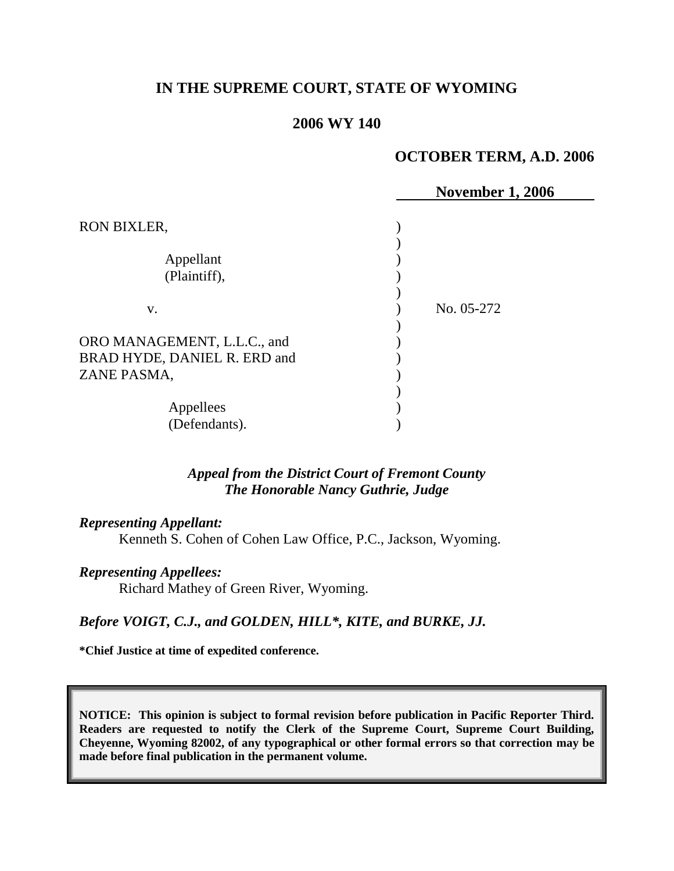# **IN THE SUPREME COURT, STATE OF WYOMING**

# **2006 WY 140**

### **OCTOBER TERM, A.D. 2006**

|                                                             | <b>November 1, 2006</b> |
|-------------------------------------------------------------|-------------------------|
| RON BIXLER,                                                 |                         |
| Appellant<br>(Plaintiff),                                   |                         |
| V.                                                          | No. 05-272              |
| ORO MANAGEMENT, L.L.C., and<br>BRAD HYDE, DANIEL R. ERD and |                         |
| ZANE PASMA,                                                 |                         |
| Appellees<br>(Defendants).                                  |                         |

# *Appeal from the District Court of Fremont County The Honorable Nancy Guthrie, Judge*

#### *Representing Appellant:*

Kenneth S. Cohen of Cohen Law Office, P.C., Jackson, Wyoming.

#### *Representing Appellees:*

Richard Mathey of Green River, Wyoming.

# *Before VOIGT, C.J., and GOLDEN, HILL\*, KITE, and BURKE, JJ.*

**\*Chief Justice at time of expedited conference.**

**NOTICE: This opinion is subject to formal revision before publication in Pacific Reporter Third. Readers are requested to notify the Clerk of the Supreme Court, Supreme Court Building, Cheyenne, Wyoming 82002, of any typographical or other formal errors so that correction may be made before final publication in the permanent volume.**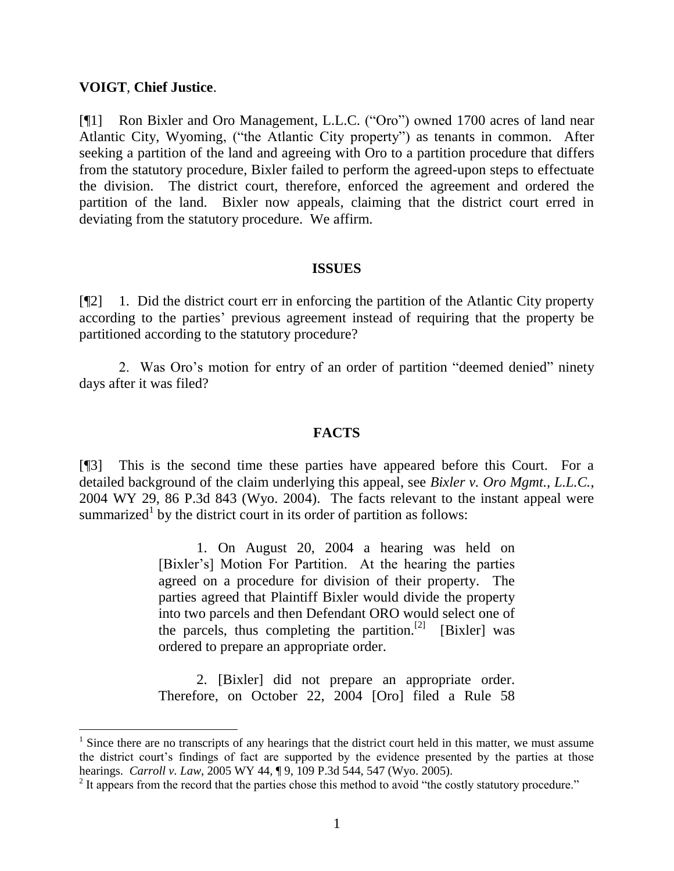## **VOIGT**, **Chief Justice**.

 $\overline{a}$ 

[¶1] Ron Bixler and Oro Management, L.L.C. ("Oro") owned 1700 acres of land near Atlantic City, Wyoming, ("the Atlantic City property") as tenants in common. After seeking a partition of the land and agreeing with Oro to a partition procedure that differs from the statutory procedure, Bixler failed to perform the agreed-upon steps to effectuate the division. The district court, therefore, enforced the agreement and ordered the partition of the land. Bixler now appeals, claiming that the district court erred in deviating from the statutory procedure. We affirm.

#### **ISSUES**

[¶2] 1. Did the district court err in enforcing the partition of the Atlantic City property according to the parties' previous agreement instead of requiring that the property be partitioned according to the statutory procedure?

2. Was Oro"s motion for entry of an order of partition "deemed denied" ninety days after it was filed?

### **FACTS**

[¶3] This is the second time these parties have appeared before this Court. For a detailed background of the claim underlying this appeal, see *Bixler v. Oro Mgmt., L.L.C.*, 2004 WY 29, 86 P.3d 843 (Wyo. 2004). The facts relevant to the instant appeal were summarized<sup>1</sup> by the district court in its order of partition as follows:

> 1. On August 20, 2004 a hearing was held on [Bixler"s] Motion For Partition. At the hearing the parties agreed on a procedure for division of their property. The parties agreed that Plaintiff Bixler would divide the property into two parcels and then Defendant ORO would select one of the parcels, thus completing the partition.<sup>[2]</sup> [Bixler] was ordered to prepare an appropriate order.

> 2. [Bixler] did not prepare an appropriate order. Therefore, on October 22, 2004 [Oro] filed a Rule 58

 $1$  Since there are no transcripts of any hearings that the district court held in this matter, we must assume the district court's findings of fact are supported by the evidence presented by the parties at those hearings. *Carroll v. Law*, 2005 WY 44, ¶ 9, 109 P.3d 544, 547 (Wyo. 2005).

 $2<sup>2</sup>$  It appears from the record that the parties chose this method to avoid "the costly statutory procedure."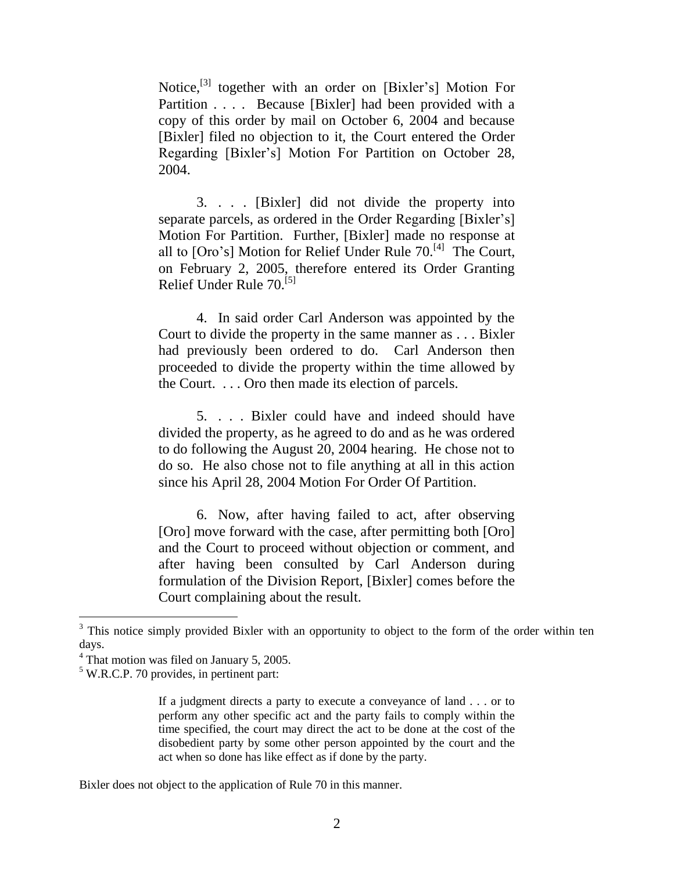Notice,<sup>[3]</sup> together with an order on [Bixler's] Motion For Partition . . . . Because [Bixler] had been provided with a copy of this order by mail on October 6, 2004 and because [Bixler] filed no objection to it, the Court entered the Order Regarding [Bixler"s] Motion For Partition on October 28, 2004.

3. . . . [Bixler] did not divide the property into separate parcels, as ordered in the Order Regarding [Bixler's] Motion For Partition. Further, [Bixler] made no response at all to [Oro's] Motion for Relief Under Rule 70.<sup>[4]</sup> The Court, on February 2, 2005, therefore entered its Order Granting Relief Under Rule 70.[5]

4. In said order Carl Anderson was appointed by the Court to divide the property in the same manner as . . . Bixler had previously been ordered to do. Carl Anderson then proceeded to divide the property within the time allowed by the Court. . . . Oro then made its election of parcels.

5. . . . Bixler could have and indeed should have divided the property, as he agreed to do and as he was ordered to do following the August 20, 2004 hearing. He chose not to do so. He also chose not to file anything at all in this action since his April 28, 2004 Motion For Order Of Partition.

6. Now, after having failed to act, after observing [Oro] move forward with the case, after permitting both [Oro] and the Court to proceed without objection or comment, and after having been consulted by Carl Anderson during formulation of the Division Report, [Bixler] comes before the Court complaining about the result.

 $\overline{a}$ 

If a judgment directs a party to execute a conveyance of land . . . or to perform any other specific act and the party fails to comply within the time specified, the court may direct the act to be done at the cost of the disobedient party by some other person appointed by the court and the act when so done has like effect as if done by the party.

Bixler does not object to the application of Rule 70 in this manner.

<sup>&</sup>lt;sup>3</sup> This notice simply provided Bixler with an opportunity to object to the form of the order within ten days.

<sup>&</sup>lt;sup>4</sup> That motion was filed on January 5, 2005.

 $5$  W.R.C.P. 70 provides, in pertinent part: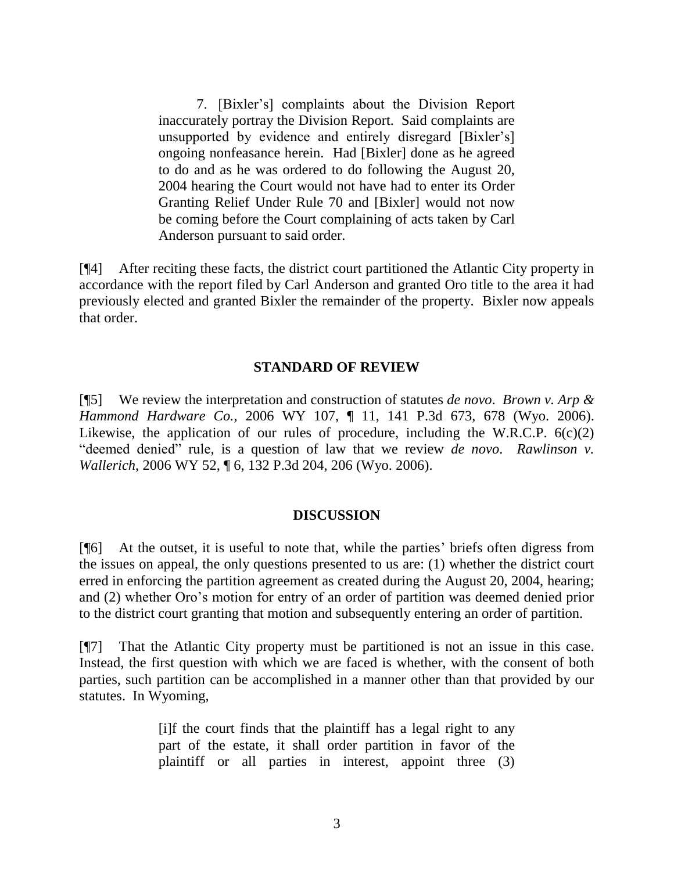7. [Bixler"s] complaints about the Division Report inaccurately portray the Division Report. Said complaints are unsupported by evidence and entirely disregard [Bixler"s] ongoing nonfeasance herein. Had [Bixler] done as he agreed to do and as he was ordered to do following the August 20, 2004 hearing the Court would not have had to enter its Order Granting Relief Under Rule 70 and [Bixler] would not now be coming before the Court complaining of acts taken by Carl Anderson pursuant to said order.

[¶4] After reciting these facts, the district court partitioned the Atlantic City property in accordance with the report filed by Carl Anderson and granted Oro title to the area it had previously elected and granted Bixler the remainder of the property. Bixler now appeals that order.

# **STANDARD OF REVIEW**

[¶5] We review the interpretation and construction of statutes *de novo*. *Brown v. Arp & Hammond Hardware Co.*, 2006 WY 107, ¶ 11, 141 P.3d 673, 678 (Wyo. 2006). Likewise, the application of our rules of procedure, including the W.R.C.P.  $6(c)(2)$ "deemed denied" rule, is a question of law that we review *de novo*. *Rawlinson v. Wallerich*, 2006 WY 52, ¶ 6, 132 P.3d 204, 206 (Wyo. 2006).

# **DISCUSSION**

[¶6] At the outset, it is useful to note that, while the parties" briefs often digress from the issues on appeal, the only questions presented to us are: (1) whether the district court erred in enforcing the partition agreement as created during the August 20, 2004, hearing; and (2) whether Oro"s motion for entry of an order of partition was deemed denied prior to the district court granting that motion and subsequently entering an order of partition.

[¶7] That the Atlantic City property must be partitioned is not an issue in this case. Instead, the first question with which we are faced is whether, with the consent of both parties, such partition can be accomplished in a manner other than that provided by our statutes. In Wyoming,

> [i]f the court finds that the plaintiff has a legal right to any part of the estate, it shall order partition in favor of the plaintiff or all parties in interest, appoint three (3)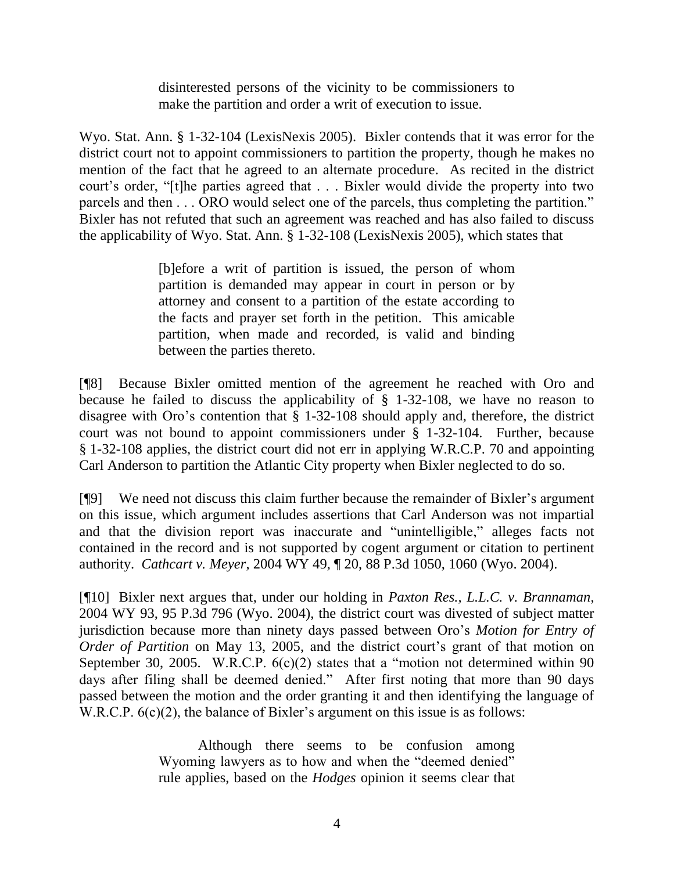disinterested persons of the vicinity to be commissioners to make the partition and order a writ of execution to issue.

Wyo. Stat. Ann. § 1-32-104 (LexisNexis 2005). Bixler contends that it was error for the district court not to appoint commissioners to partition the property, though he makes no mention of the fact that he agreed to an alternate procedure. As recited in the district court's order, "[t]he parties agreed that . . . Bixler would divide the property into two parcels and then . . . ORO would select one of the parcels, thus completing the partition." Bixler has not refuted that such an agreement was reached and has also failed to discuss the applicability of Wyo. Stat. Ann. § 1-32-108 (LexisNexis 2005), which states that

> [b]efore a writ of partition is issued, the person of whom partition is demanded may appear in court in person or by attorney and consent to a partition of the estate according to the facts and prayer set forth in the petition. This amicable partition, when made and recorded, is valid and binding between the parties thereto.

[¶8] Because Bixler omitted mention of the agreement he reached with Oro and because he failed to discuss the applicability of § 1-32-108, we have no reason to disagree with Oro's contention that  $\S$  1-32-108 should apply and, therefore, the district court was not bound to appoint commissioners under § 1-32-104. Further, because § 1-32-108 applies, the district court did not err in applying W.R.C.P. 70 and appointing Carl Anderson to partition the Atlantic City property when Bixler neglected to do so.

[¶9] We need not discuss this claim further because the remainder of Bixler"s argument on this issue, which argument includes assertions that Carl Anderson was not impartial and that the division report was inaccurate and "unintelligible," alleges facts not contained in the record and is not supported by cogent argument or citation to pertinent authority. *Cathcart v. Meyer*, 2004 WY 49, ¶ 20, 88 P.3d 1050, 1060 (Wyo. 2004).

[¶10] Bixler next argues that, under our holding in *Paxton Res., L.L.C. v. Brannaman*, 2004 WY 93, 95 P.3d 796 (Wyo. 2004), the district court was divested of subject matter jurisdiction because more than ninety days passed between Oro"s *Motion for Entry of Order of Partition* on May 13, 2005, and the district court's grant of that motion on September 30, 2005. W.R.C.P.  $6(c)(2)$  states that a "motion not determined within 90 days after filing shall be deemed denied." After first noting that more than 90 days passed between the motion and the order granting it and then identifying the language of W.R.C.P.  $6(c)(2)$ , the balance of Bixler's argument on this issue is as follows:

> Although there seems to be confusion among Wyoming lawyers as to how and when the "deemed denied" rule applies, based on the *Hodges* opinion it seems clear that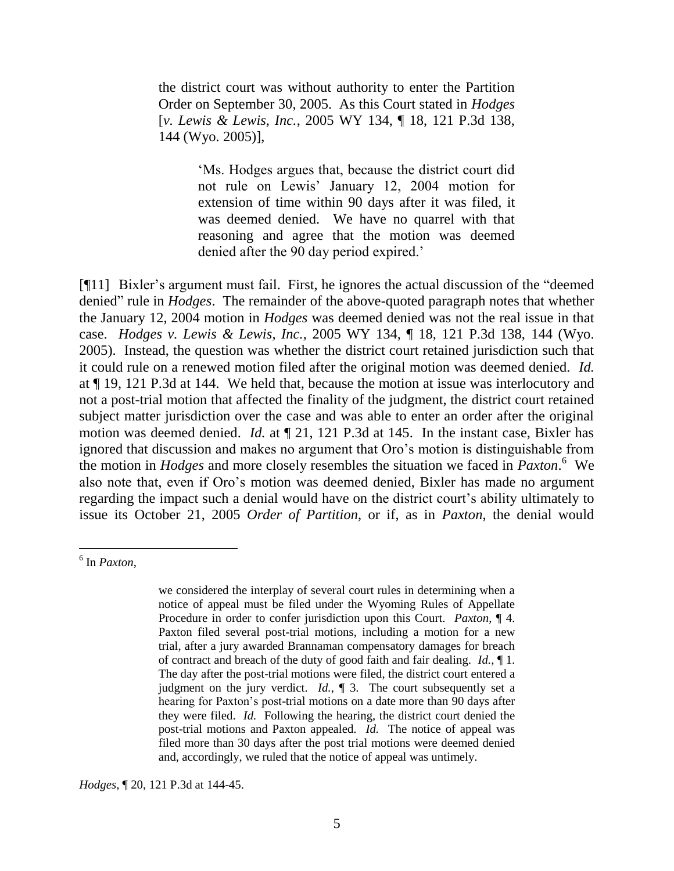the district court was without authority to enter the Partition Order on September 30, 2005. As this Court stated in *Hodges* [*v. Lewis & Lewis, Inc.*, 2005 WY 134, ¶ 18, 121 P.3d 138, 144 (Wyo. 2005)],

> "Ms. Hodges argues that, because the district court did not rule on Lewis" January 12, 2004 motion for extension of time within 90 days after it was filed, it was deemed denied. We have no quarrel with that reasoning and agree that the motion was deemed denied after the 90 day period expired."

[¶11] Bixler's argument must fail. First, he ignores the actual discussion of the "deemed" denied" rule in *Hodges*. The remainder of the above-quoted paragraph notes that whether the January 12, 2004 motion in *Hodges* was deemed denied was not the real issue in that case. *Hodges v. Lewis & Lewis, Inc.*, 2005 WY 134, ¶ 18, 121 P.3d 138, 144 (Wyo. 2005). Instead, the question was whether the district court retained jurisdiction such that it could rule on a renewed motion filed after the original motion was deemed denied. *Id.* at ¶ 19, 121 P.3d at 144. We held that, because the motion at issue was interlocutory and not a post-trial motion that affected the finality of the judgment, the district court retained subject matter jurisdiction over the case and was able to enter an order after the original motion was deemed denied. *Id.* at ¶ 21, 121 P.3d at 145. In the instant case, Bixler has ignored that discussion and makes no argument that Oro"s motion is distinguishable from the motion in *Hodges* and more closely resembles the situation we faced in *Paxton*. 6 We also note that, even if Oro"s motion was deemed denied, Bixler has made no argument regarding the impact such a denial would have on the district court's ability ultimately to issue its October 21, 2005 *Order of Partition*, or if, as in *Paxton*, the denial would

 $\overline{a}$ 

*Hodges*, ¶ 20, 121 P.3d at 144-45.

<sup>6</sup> In *Paxton*,

we considered the interplay of several court rules in determining when a notice of appeal must be filed under the Wyoming Rules of Appellate Procedure in order to confer jurisdiction upon this Court. *Paxton*, ¶ 4. Paxton filed several post-trial motions, including a motion for a new trial, after a jury awarded Brannaman compensatory damages for breach of contract and breach of the duty of good faith and fair dealing. *Id.*, ¶ 1. The day after the post-trial motions were filed, the district court entered a judgment on the jury verdict. *Id.*, ¶ 3. The court subsequently set a hearing for Paxton's post-trial motions on a date more than 90 days after they were filed. *Id.* Following the hearing, the district court denied the post-trial motions and Paxton appealed. *Id.* The notice of appeal was filed more than 30 days after the post trial motions were deemed denied and, accordingly, we ruled that the notice of appeal was untimely.